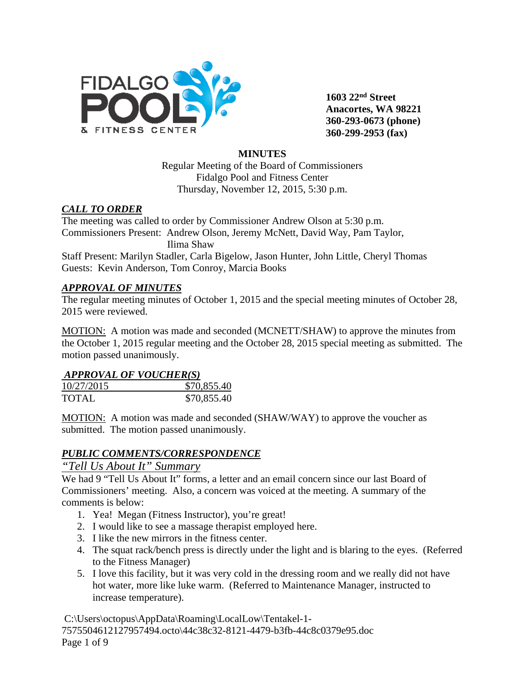

**1603 22nd Street Anacortes, WA 98221 360-293-0673 (phone) 360-299-2953 (fax)**

### **MINUTES**

Regular Meeting of the Board of Commissioners Fidalgo Pool and Fitness Center Thursday, November 12, 2015, 5:30 p.m.

#### *CALL TO ORDER*

The meeting was called to order by Commissioner Andrew Olson at 5:30 p.m. Commissioners Present: Andrew Olson, Jeremy McNett, David Way, Pam Taylor, Ilima Shaw

Staff Present: Marilyn Stadler, Carla Bigelow, Jason Hunter, John Little, Cheryl Thomas Guests: Kevin Anderson, Tom Conroy, Marcia Books

#### *APPROVAL OF MINUTES*

The regular meeting minutes of October 1, 2015 and the special meeting minutes of October 28, 2015 were reviewed.

MOTION: A motion was made and seconded (MCNETT/SHAW) to approve the minutes from the October 1, 2015 regular meeting and the October 28, 2015 special meeting as submitted. The motion passed unanimously.

#### *APPROVAL OF VOUCHER(S)*

| 10/27/2015   | \$70,855.40 |
|--------------|-------------|
| <b>TOTAL</b> | \$70,855.40 |

MOTION: A motion was made and seconded (SHAW/WAY) to approve the voucher as submitted. The motion passed unanimously.

### *PUBLIC COMMENTS/CORRESPONDENCE*

### *"Tell Us About It" Summary*

We had 9 "Tell Us About It" forms, a letter and an email concern since our last Board of Commissioners' meeting. Also, a concern was voiced at the meeting. A summary of the comments is below:

- 1. Yea! Megan (Fitness Instructor), you're great!
- 2. I would like to see a massage therapist employed here.
- 3. I like the new mirrors in the fitness center.
- 4. The squat rack/bench press is directly under the light and is blaring to the eyes. (Referred to the Fitness Manager)
- 5. I love this facility, but it was very cold in the dressing room and we really did not have hot water, more like luke warm. (Referred to Maintenance Manager, instructed to increase temperature).

C:\Users\octopus\AppData\Roaming\LocalLow\Tentakel-1- 7575504612127957494.octo\44c38c32-8121-4479-b3fb-44c8c0379e95.doc Page 1 of 9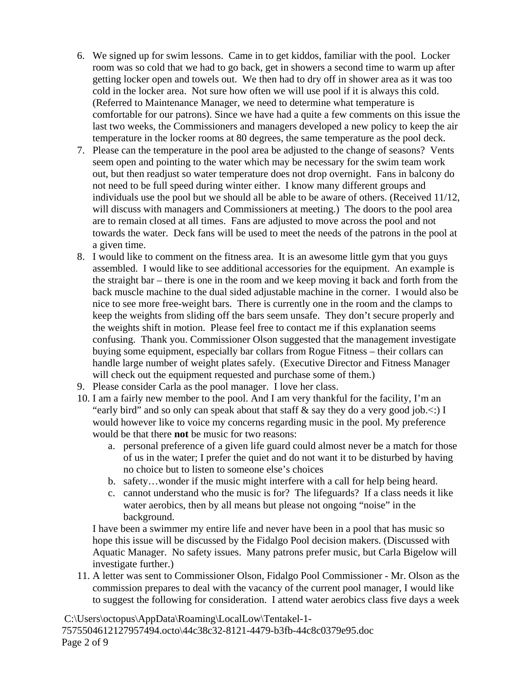- 6. We signed up for swim lessons. Came in to get kiddos, familiar with the pool. Locker room was so cold that we had to go back, get in showers a second time to warm up after getting locker open and towels out. We then had to dry off in shower area as it was too cold in the locker area. Not sure how often we will use pool if it is always this cold. (Referred to Maintenance Manager, we need to determine what temperature is comfortable for our patrons). Since we have had a quite a few comments on this issue the last two weeks, the Commissioners and managers developed a new policy to keep the air temperature in the locker rooms at 80 degrees, the same temperature as the pool deck.
- 7. Please can the temperature in the pool area be adjusted to the change of seasons? Vents seem open and pointing to the water which may be necessary for the swim team work out, but then readjust so water temperature does not drop overnight. Fans in balcony do not need to be full speed during winter either. I know many different groups and individuals use the pool but we should all be able to be aware of others. (Received 11/12, will discuss with managers and Commissioners at meeting.) The doors to the pool area are to remain closed at all times. Fans are adjusted to move across the pool and not towards the water. Deck fans will be used to meet the needs of the patrons in the pool at a given time.
- 8. I would like to comment on the fitness area. It is an awesome little gym that you guys assembled. I would like to see additional accessories for the equipment. An example is the straight bar – there is one in the room and we keep moving it back and forth from the back muscle machine to the dual sided adjustable machine in the corner. I would also be nice to see more free-weight bars. There is currently one in the room and the clamps to keep the weights from sliding off the bars seem unsafe. They don't secure properly and the weights shift in motion. Please feel free to contact me if this explanation seems confusing. Thank you. Commissioner Olson suggested that the management investigate buying some equipment, especially bar collars from Rogue Fitness – their collars can handle large number of weight plates safely. (Executive Director and Fitness Manager will check out the equipment requested and purchase some of them.)
- 9. Please consider Carla as the pool manager. I love her class.
- 10. I am a fairly new member to the pool. And I am very thankful for the facility, I'm an "early bird" and so only can speak about that staff  $\&$  say they do a very good job. $\lt$ :) I would however like to voice my concerns regarding music in the pool. My preference would be that there **not** be music for two reasons:
	- a. personal preference of a given life guard could almost never be a match for those of us in the water; I prefer the quiet and do not want it to be disturbed by having no choice but to listen to someone else's choices
	- b. safety…wonder if the music might interfere with a call for help being heard.
	- c. cannot understand who the music is for? The lifeguards? If a class needs it like water aerobics, then by all means but please not ongoing "noise" in the background.

I have been a swimmer my entire life and never have been in a pool that has music so hope this issue will be discussed by the Fidalgo Pool decision makers. (Discussed with Aquatic Manager. No safety issues. Many patrons prefer music, but Carla Bigelow will investigate further.)

11. A letter was sent to Commissioner Olson, Fidalgo Pool Commissioner - Mr. Olson as the commission prepares to deal with the vacancy of the current pool manager, I would like to suggest the following for consideration. I attend water aerobics class five days a week

C:\Users\octopus\AppData\Roaming\LocalLow\Tentakel-1- 7575504612127957494.octo\44c38c32-8121-4479-b3fb-44c8c0379e95.doc Page 2 of 9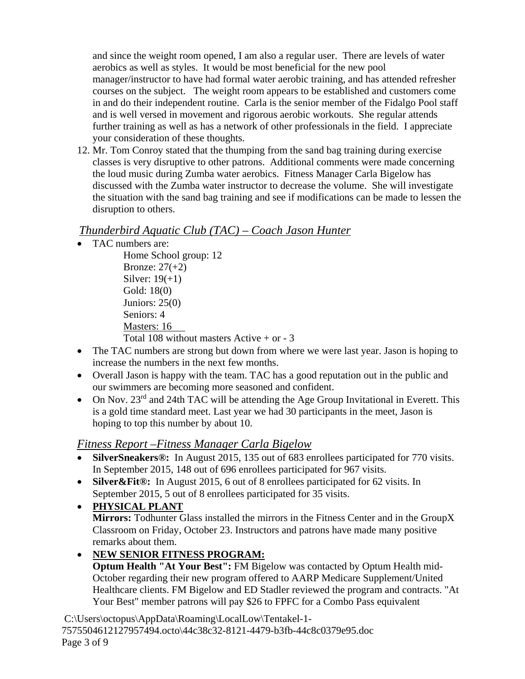and since the weight room opened, I am also a regular user. There are levels of water aerobics as well as styles. It would be most beneficial for the new pool manager/instructor to have had formal water aerobic training, and has attended refresher courses on the subject. The weight room appears to be established and customers come in and do their independent routine. Carla is the senior member of the Fidalgo Pool staff and is well versed in movement and rigorous aerobic workouts. She regular attends further training as well as has a network of other professionals in the field. I appreciate your consideration of these thoughts.

12. Mr. Tom Conroy stated that the thumping from the sand bag training during exercise classes is very disruptive to other patrons. Additional comments were made concerning the loud music during Zumba water aerobics. Fitness Manager Carla Bigelow has discussed with the Zumba water instructor to decrease the volume. She will investigate the situation with the sand bag training and see if modifications can be made to lessen the disruption to others.

# *Thunderbird Aquatic Club (TAC) – Coach Jason Hunter*

• TAC numbers are:

Home School group: 12 Bronze: 27(+2) Silver:  $19(+1)$ Gold: 18(0) Juniors: 25(0) Seniors: 4 Masters: 16 Total 108 without masters Active  $+$  or  $-3$ 

- The TAC numbers are strong but down from where we were last year. Jason is hoping to increase the numbers in the next few months.
- Overall Jason is happy with the team. TAC has a good reputation out in the public and our swimmers are becoming more seasoned and confident.
- On Nov.  $23<sup>rd</sup>$  and 24th TAC will be attending the Age Group Invitational in Everett. This is a gold time standard meet. Last year we had 30 participants in the meet, Jason is hoping to top this number by about 10.

# *Fitness Report –Fitness Manager Carla Bigelow*

- **SilverSneakers®:** In August 2015, 135 out of 683 enrollees participated for 770 visits. In September 2015, 148 out of 696 enrollees participated for 967 visits.
- **Silver&Fit®:** In August 2015, 6 out of 8 enrollees participated for 62 visits. In September 2015, 5 out of 8 enrollees participated for 35 visits.
- **PHYSICAL PLANT Mirrors:** Todhunter Glass installed the mirrors in the Fitness Center and in the GroupX Classroom on Friday, October 23. Instructors and patrons have made many positive remarks about them.

# • **NEW SENIOR FITNESS PROGRAM:**

**Optum Health "At Your Best":** FM Bigelow was contacted by Optum Health mid-October regarding their new program offered to AARP Medicare Supplement/United Healthcare clients. FM Bigelow and ED Stadler reviewed the program and contracts. "At Your Best" member patrons will pay \$26 to FPFC for a Combo Pass equivalent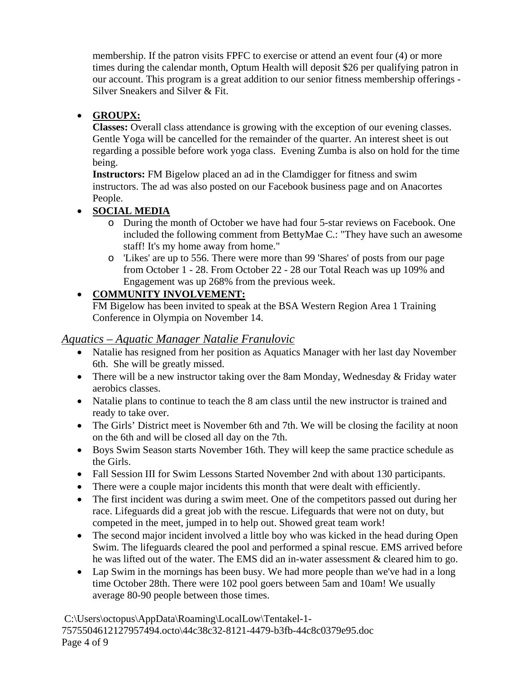membership. If the patron visits FPFC to exercise or attend an event four (4) or more times during the calendar month, Optum Health will deposit \$26 per qualifying patron in our account. This program is a great addition to our senior fitness membership offerings - Silver Sneakers and Silver & Fit.

## • **GROUPX:**

**Classes:** Overall class attendance is growing with the exception of our evening classes. Gentle Yoga will be cancelled for the remainder of the quarter. An interest sheet is out regarding a possible before work yoga class. Evening Zumba is also on hold for the time being.

**Instructors:** FM Bigelow placed an ad in the Clamdigger for fitness and swim instructors. The ad was also posted on our Facebook business page and on Anacortes People.

## • **SOCIAL MEDIA**

- o During the month of October we have had four 5-star reviews on Facebook. One included the following comment from BettyMae C.: "They have such an awesome staff! It's my home away from home."
- o 'Likes' are up to 556. There were more than 99 'Shares' of posts from our page from October 1 - 28. From October 22 - 28 our Total Reach was up 109% and Engagement was up 268% from the previous week.

# • **COMMUNITY INVOLVEMENT:**

FM Bigelow has been invited to speak at the BSA Western Region Area 1 Training Conference in Olympia on November 14.

## *Aquatics – Aquatic Manager Natalie Franulovic*

- Natalie has resigned from her position as Aquatics Manager with her last day November 6th. She will be greatly missed.
- There will be a new instructor taking over the 8am Monday, Wednesday & Friday water aerobics classes.
- Natalie plans to continue to teach the 8 am class until the new instructor is trained and ready to take over.
- The Girls' District meet is November 6th and 7th. We will be closing the facility at noon on the 6th and will be closed all day on the 7th.
- Boys Swim Season starts November 16th. They will keep the same practice schedule as the Girls.
- Fall Session III for Swim Lessons Started November 2nd with about 130 participants.
- There were a couple major incidents this month that were dealt with efficiently.
- The first incident was during a swim meet. One of the competitors passed out during her race. Lifeguards did a great job with the rescue. Lifeguards that were not on duty, but competed in the meet, jumped in to help out. Showed great team work!
- The second major incident involved a little boy who was kicked in the head during Open Swim. The lifeguards cleared the pool and performed a spinal rescue. EMS arrived before he was lifted out of the water. The EMS did an in-water assessment & cleared him to go.
- Lap Swim in the mornings has been busy. We had more people than we've had in a long time October 28th. There were 102 pool goers between 5am and 10am! We usually average 80-90 people between those times.

C:\Users\octopus\AppData\Roaming\LocalLow\Tentakel-1- 7575504612127957494.octo\44c38c32-8121-4479-b3fb-44c8c0379e95.doc Page 4 of 9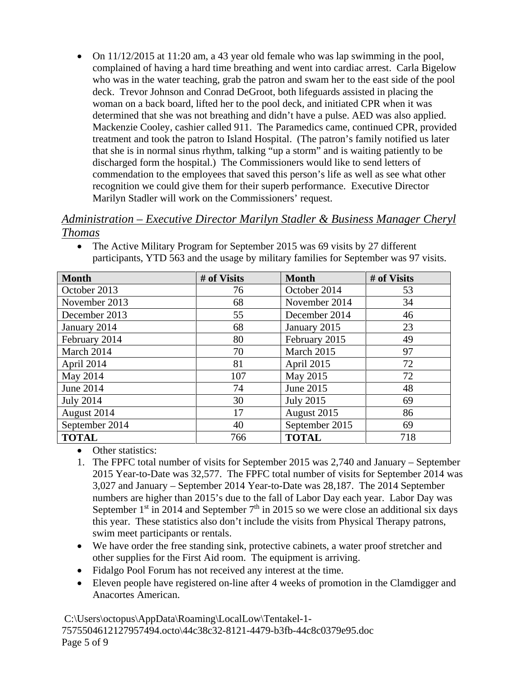• On 11/12/2015 at 11:20 am, a 43 year old female who was lap swimming in the pool, complained of having a hard time breathing and went into cardiac arrest. Carla Bigelow who was in the water teaching, grab the patron and swam her to the east side of the pool deck. Trevor Johnson and Conrad DeGroot, both lifeguards assisted in placing the woman on a back board, lifted her to the pool deck, and initiated CPR when it was determined that she was not breathing and didn't have a pulse. AED was also applied. Mackenzie Cooley, cashier called 911. The Paramedics came, continued CPR, provided treatment and took the patron to Island Hospital. (The patron's family notified us later that she is in normal sinus rhythm, talking "up a storm" and is waiting patiently to be discharged form the hospital.) The Commissioners would like to send letters of commendation to the employees that saved this person's life as well as see what other recognition we could give them for their superb performance. Executive Director Marilyn Stadler will work on the Commissioners' request.

### *Administration – Executive Director Marilyn Stadler & Business Manager Cheryl Thomas*

| <b>Month</b>     | # of Visits | <b>Month</b>         | # of Visits |
|------------------|-------------|----------------------|-------------|
| October 2013     | 76          | October 2014         | 53          |
| November 2013    | 68          | November 2014        | 34          |
| December 2013    | 55          | December 2014        | 46          |
| January 2014     | 68          | January 2015         | 23          |
| February 2014    | 80          | February 2015        | 49          |
| March 2014       | 70          | March 2015           | 97          |
| April 2014       | 81          | April 2015           | 72          |
| May 2014         | 107         | May 2015             | 72          |
| <b>June 2014</b> | 74          | June 2015            | 48          |
| <b>July 2014</b> | 30          | <b>July 2015</b>     | 69          |
| August 2014      | 17          | August 2015          | 86          |
| September 2014   | 40          | September 2015<br>69 |             |
| <b>TOTAL</b>     | 766         | <b>TOTAL</b>         | 718         |

• The Active Military Program for September 2015 was 69 visits by 27 different participants, YTD 563 and the usage by military families for September was 97 visits.

- Other statistics:
- 1. The FPFC total number of visits for September 2015 was 2,740 and January September 2015 Year-to-Date was 32,577. The FPFC total number of visits for September 2014 was 3,027 and January – September 2014 Year-to-Date was 28,187. The 2014 September numbers are higher than 2015's due to the fall of Labor Day each year. Labor Day was September  $1<sup>st</sup>$  in 2014 and September  $7<sup>th</sup>$  in 2015 so we were close an additional six days this year. These statistics also don't include the visits from Physical Therapy patrons, swim meet participants or rentals.
- We have order the free standing sink, protective cabinets, a water proof stretcher and other supplies for the First Aid room. The equipment is arriving.
- Fidalgo Pool Forum has not received any interest at the time.
- Eleven people have registered on-line after 4 weeks of promotion in the Clamdigger and Anacortes American.

C:\Users\octopus\AppData\Roaming\LocalLow\Tentakel-1- 7575504612127957494.octo\44c38c32-8121-4479-b3fb-44c8c0379e95.doc Page 5 of 9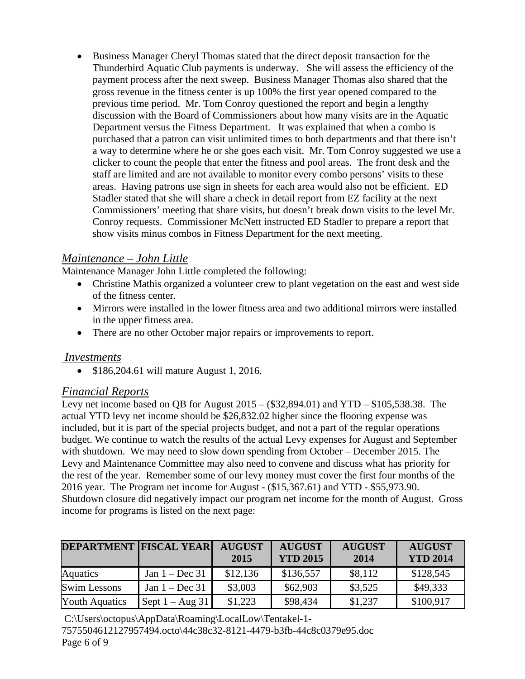• Business Manager Cheryl Thomas stated that the direct deposit transaction for the Thunderbird Aquatic Club payments is underway. She will assess the efficiency of the payment process after the next sweep. Business Manager Thomas also shared that the gross revenue in the fitness center is up 100% the first year opened compared to the previous time period. Mr. Tom Conroy questioned the report and begin a lengthy discussion with the Board of Commissioners about how many visits are in the Aquatic Department versus the Fitness Department. It was explained that when a combo is purchased that a patron can visit unlimited times to both departments and that there isn't a way to determine where he or she goes each visit. Mr. Tom Conroy suggested we use a clicker to count the people that enter the fitness and pool areas. The front desk and the staff are limited and are not available to monitor every combo persons' visits to these areas. Having patrons use sign in sheets for each area would also not be efficient. ED Stadler stated that she will share a check in detail report from EZ facility at the next Commissioners' meeting that share visits, but doesn't break down visits to the level Mr. Conroy requests. Commissioner McNett instructed ED Stadler to prepare a report that show visits minus combos in Fitness Department for the next meeting.

# *Maintenance – John Little*

Maintenance Manager John Little completed the following:

- Christine Mathis organized a volunteer crew to plant vegetation on the east and west side of the fitness center.
- Mirrors were installed in the lower fitness area and two additional mirrors were installed in the upper fitness area.
- There are no other October major repairs or improvements to report.

### *Investments*

• \$186,204.61 will mature August 1, 2016.

### *Financial Reports*

Levy net income based on QB for August  $2015 - (332,894.01)$  and  $YTD - $105,538.38$ . The actual YTD levy net income should be \$26,832.02 higher since the flooring expense was included, but it is part of the special projects budget, and not a part of the regular operations budget. We continue to watch the results of the actual Levy expenses for August and September with shutdown. We may need to slow down spending from October – December 2015. The Levy and Maintenance Committee may also need to convene and discuss what has priority for the rest of the year. Remember some of our levy money must cover the first four months of the 2016 year. The Program net income for August - (\$15,367.61) and YTD - \$55,973.90. Shutdown closure did negatively impact our program net income for the month of August. Gross income for programs is listed on the next page:

| <b>DEPARTMENT FISCAL YEAR</b> |                   | <b>AUGUST</b><br>2015 | <b>AUGUST</b><br><b>YTD 2015</b> | <b>AUGUST</b><br>2014 | <b>AUGUST</b><br><b>YTD 2014</b> |
|-------------------------------|-------------------|-----------------------|----------------------------------|-----------------------|----------------------------------|
| Aquatics                      | Jan $1 - Dec 31$  | \$12,136              | \$136,557                        | \$8,112               | \$128,545                        |
| <b>Swim Lessons</b>           | Jan $1 - Dec 31$  | \$3,003               | \$62,903                         | \$3,525               | \$49,333                         |
| <b>Youth Aquatics</b>         | Sept $1 - Aug 31$ | \$1,223               | \$98,434                         | \$1,237               | \$100,917                        |

C:\Users\octopus\AppData\Roaming\LocalLow\Tentakel-1- 7575504612127957494.octo\44c38c32-8121-4479-b3fb-44c8c0379e95.doc Page 6 of 9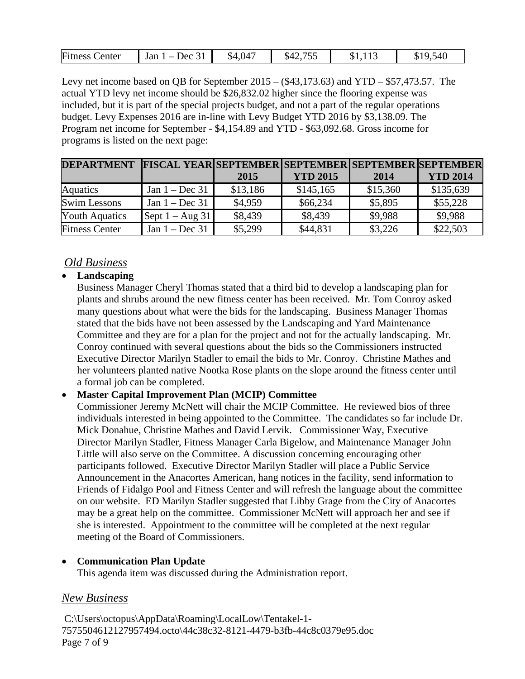| ~<br>۰D۱<br>/CC<br>1 J J<br>ັ້<br><b>.</b><br>$ -$<br>$\sim$<br>___ | Fitness<br>enter | $\sim$ $\sim$<br>Jan<br>$\alpha$ | $\overline{A}$<br>\$4,047 | ---<br>54 |  |  |
|---------------------------------------------------------------------|------------------|----------------------------------|---------------------------|-----------|--|--|
|---------------------------------------------------------------------|------------------|----------------------------------|---------------------------|-----------|--|--|

Levy net income based on QB for September 2015 – (\$43,173.63) and YTD – \$57,473.57. The actual YTD levy net income should be \$26,832.02 higher since the flooring expense was included, but it is part of the special projects budget, and not a part of the regular operations budget. Levy Expenses 2016 are in-line with Levy Budget YTD 2016 by \$3,138.09. The Program net income for September - \$4,154.89 and YTD - \$63,092.68. Gross income for programs is listed on the next page:

| DEPARTMENT FISCAL YEARISEPTEMBER SEPTEMBER SEPTEMBER SEPTEMBER |                           |          |                 |          |                 |
|----------------------------------------------------------------|---------------------------|----------|-----------------|----------|-----------------|
|                                                                |                           | 2015     | <b>YTD 2015</b> | 2014     | <b>YTD 2014</b> |
| <b>Aquatics</b>                                                | Jan $1 - Dec 31$          | \$13,186 | \$145,165       | \$15,360 | \$135,639       |
| <b>Swim Lessons</b>                                            | Jan $1 - Dec 31$          | \$4,959  | \$66,234        | \$5,895  | \$55,228        |
| <b>Youth Aquatics</b>                                          | Sept $1 - \text{Aug } 31$ | \$8,439  | \$8,439         | \$9,988  | \$9,988         |
| <b>Fitness Center</b>                                          | Jan $1 - Dec 31$          | \$5,299  | \$44,831        | \$3,226  | \$22,503        |

### *Old Business*

### • **Landscaping**

Business Manager Cheryl Thomas stated that a third bid to develop a landscaping plan for plants and shrubs around the new fitness center has been received. Mr. Tom Conroy asked many questions about what were the bids for the landscaping. Business Manager Thomas stated that the bids have not been assessed by the Landscaping and Yard Maintenance Committee and they are for a plan for the project and not for the actually landscaping. Mr. Conroy continued with several questions about the bids so the Commissioners instructed Executive Director Marilyn Stadler to email the bids to Mr. Conroy. Christine Mathes and her volunteers planted native Nootka Rose plants on the slope around the fitness center until a formal job can be completed.

#### • **Master Capital Improvement Plan (MCIP) Committee**

Commissioner Jeremy McNett will chair the MCIP Committee. He reviewed bios of three individuals interested in being appointed to the Committee. The candidates so far include Dr. Mick Donahue, Christine Mathes and David Lervik. Commissioner Way, Executive Director Marilyn Stadler, Fitness Manager Carla Bigelow, and Maintenance Manager John Little will also serve on the Committee. A discussion concerning encouraging other participants followed. Executive Director Marilyn Stadler will place a Public Service Announcement in the Anacortes American, hang notices in the facility, send information to Friends of Fidalgo Pool and Fitness Center and will refresh the language about the committee on our website. ED Marilyn Stadler suggested that Libby Grage from the City of Anacortes may be a great help on the committee. Commissioner McNett will approach her and see if she is interested. Appointment to the committee will be completed at the next regular meeting of the Board of Commissioners.

#### • **Communication Plan Update**

This agenda item was discussed during the Administration report.

### *New Business*

C:\Users\octopus\AppData\Roaming\LocalLow\Tentakel-1- 7575504612127957494.octo\44c38c32-8121-4479-b3fb-44c8c0379e95.doc Page 7 of 9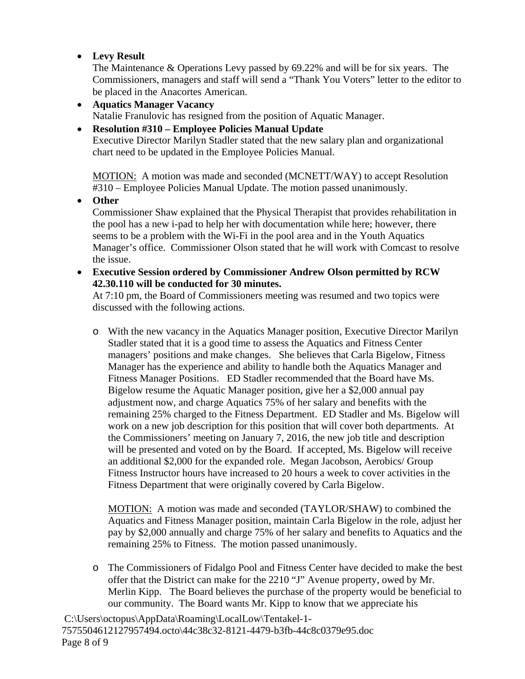• **Levy Result**

The Maintenance & Operations Levy passed by 69.22% and will be for six years. The Commissioners, managers and staff will send a "Thank You Voters" letter to the editor to be placed in the Anacortes American.

- **Aquatics Manager Vacancy** Natalie Franulovic has resigned from the position of Aquatic Manager.
- **Resolution #310 – Employee Policies Manual Update** Executive Director Marilyn Stadler stated that the new salary plan and organizational chart need to be updated in the Employee Policies Manual.

MOTION: A motion was made and seconded (MCNETT/WAY) to accept Resolution #310 – Employee Policies Manual Update. The motion passed unanimously.

• **Other**

Commissioner Shaw explained that the Physical Therapist that provides rehabilitation in the pool has a new i-pad to help her with documentation while here; however, there seems to be a problem with the Wi-Fi in the pool area and in the Youth Aquatics Manager's office. Commissioner Olson stated that he will work with Comcast to resolve the issue.

• **Executive Session ordered by Commissioner Andrew Olson permitted by RCW 42.30.110 will be conducted for 30 minutes.**

At 7:10 pm, the Board of Commissioners meeting was resumed and two topics were discussed with the following actions.

o With the new vacancy in the Aquatics Manager position, Executive Director Marilyn Stadler stated that it is a good time to assess the Aquatics and Fitness Center managers' positions and make changes. She believes that Carla Bigelow, Fitness Manager has the experience and ability to handle both the Aquatics Manager and Fitness Manager Positions. ED Stadler recommended that the Board have Ms. Bigelow resume the Aquatic Manager position, give her a \$2,000 annual pay adjustment now, and charge Aquatics 75% of her salary and benefits with the remaining 25% charged to the Fitness Department. ED Stadler and Ms. Bigelow will work on a new job description for this position that will cover both departments. At the Commissioners' meeting on January 7, 2016, the new job title and description will be presented and voted on by the Board. If accepted, Ms. Bigelow will receive an additional \$2,000 for the expanded role. Megan Jacobson, Aerobics/ Group Fitness Instructor hours have increased to 20 hours a week to cover activities in the Fitness Department that were originally covered by Carla Bigelow.

MOTION: A motion was made and seconded (TAYLOR/SHAW) to combined the Aquatics and Fitness Manager position, maintain Carla Bigelow in the role, adjust her pay by \$2,000 annually and charge 75% of her salary and benefits to Aquatics and the remaining 25% to Fitness. The motion passed unanimously.

o The Commissioners of Fidalgo Pool and Fitness Center have decided to make the best offer that the District can make for the 2210 "J" Avenue property, owed by Mr. Merlin Kipp. The Board believes the purchase of the property would be beneficial to our community. The Board wants Mr. Kipp to know that we appreciate his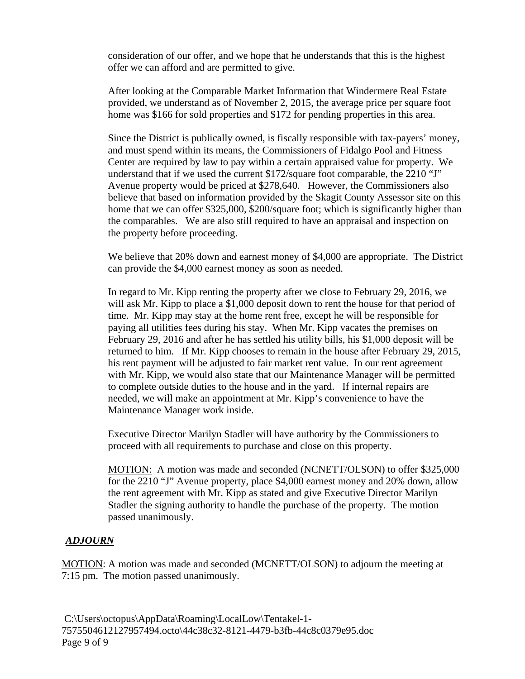consideration of our offer, and we hope that he understands that this is the highest offer we can afford and are permitted to give.

After looking at the Comparable Market Information that Windermere Real Estate provided, we understand as of November 2, 2015, the average price per square foot home was \$166 for sold properties and \$172 for pending properties in this area.

Since the District is publically owned, is fiscally responsible with tax-payers' money, and must spend within its means, the Commissioners of Fidalgo Pool and Fitness Center are required by law to pay within a certain appraised value for property. We understand that if we used the current  $$172$ /square foot comparable, the  $2210$  "J" Avenue property would be priced at \$278,640. However, the Commissioners also believe that based on information provided by the Skagit County Assessor site on this home that we can offer \$325,000, \$200/square foot; which is significantly higher than the comparables. We are also still required to have an appraisal and inspection on the property before proceeding.

We believe that 20% down and earnest money of \$4,000 are appropriate. The District can provide the \$4,000 earnest money as soon as needed.

In regard to Mr. Kipp renting the property after we close to February 29, 2016, we will ask Mr. Kipp to place a \$1,000 deposit down to rent the house for that period of time. Mr. Kipp may stay at the home rent free, except he will be responsible for paying all utilities fees during his stay. When Mr. Kipp vacates the premises on February 29, 2016 and after he has settled his utility bills, his \$1,000 deposit will be returned to him. If Mr. Kipp chooses to remain in the house after February 29, 2015, his rent payment will be adjusted to fair market rent value. In our rent agreement with Mr. Kipp, we would also state that our Maintenance Manager will be permitted to complete outside duties to the house and in the yard. If internal repairs are needed, we will make an appointment at Mr. Kipp's convenience to have the Maintenance Manager work inside.

Executive Director Marilyn Stadler will have authority by the Commissioners to proceed with all requirements to purchase and close on this property.

MOTION: A motion was made and seconded (NCNETT/OLSON) to offer \$325,000 for the 2210 "J" Avenue property, place \$4,000 earnest money and 20% down, allow the rent agreement with Mr. Kipp as stated and give Executive Director Marilyn Stadler the signing authority to handle the purchase of the property. The motion passed unanimously.

### *ADJOURN*

MOTION: A motion was made and seconded (MCNETT/OLSON) to adjourn the meeting at 7:15 pm. The motion passed unanimously.